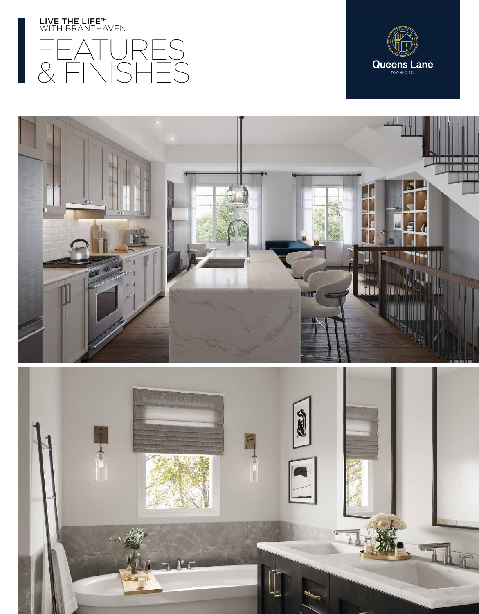